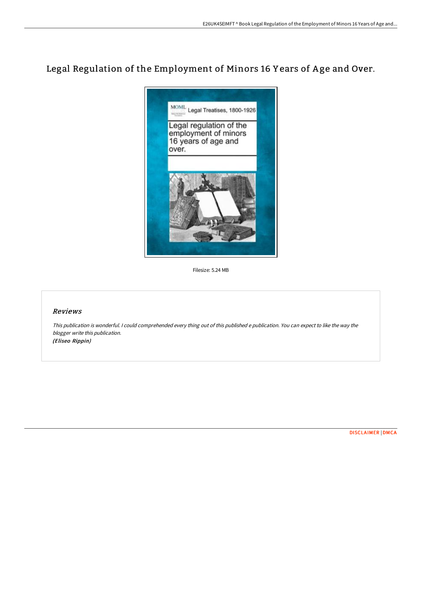# Legal Regulation of the Employment of Minors 16 Y ears of A ge and Over.



Filesize: 5.24 MB

# Reviews

This publication is wonderful. <sup>I</sup> could comprehended every thing out of this published <sup>e</sup> publication. You can expect to like the way the blogger write this publication. (Eliseo Rippin)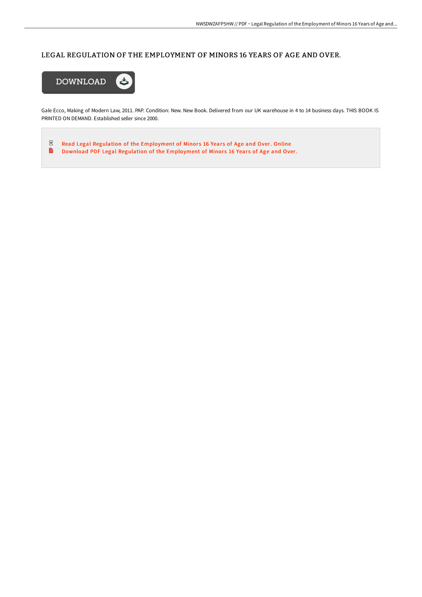# LEGAL REGULATION OF THE EMPLOYMENT OF MINORS 16 YEARS OF AGE AND OVER.



Gale Ecco, Making of Modern Law, 2011. PAP. Condition: New. New Book. Delivered from our UK warehouse in 4 to 14 business days. THIS BOOK IS PRINTED ON DEMAND. Established seller since 2000.

 $\frac{1}{2}$ Read Legal Regulation of the [Employment](http://techno-pub.tech/legal-regulation-of-the-employment-of-minors-16-.html) of Minors 16 Years of Age and Over. Online  $\blacksquare$ Download PDF Legal Regulation of the [Employment](http://techno-pub.tech/legal-regulation-of-the-employment-of-minors-16-.html) of Minors 16 Years of Age and Over.